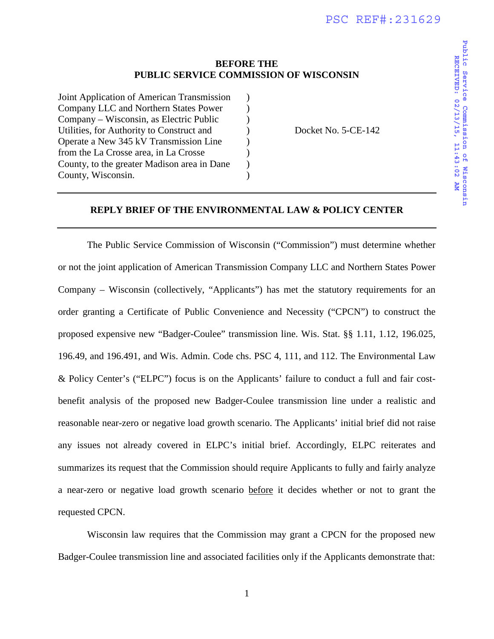## **BEFORE THE PUBLIC SERVICE COMMISSION OF WISCONSIN**

| Joint Application of American Transmission  |           |
|---------------------------------------------|-----------|
| Company LLC and Northern States Power       | $\lambda$ |
| Company – Wisconsin, as Electric Public     | $\lambda$ |
| Utilities, for Authority to Construct and   | $\lambda$ |
| Operate a New 345 kV Transmission Line      | $\lambda$ |
| from the La Crosse area, in La Crosse       | $\lambda$ |
| County, to the greater Madison area in Dane | $\lambda$ |
| County, Wisconsin.                          |           |
|                                             |           |

Docket No. 5-CE-142

## **REPLY BRIEF OF THE ENVIRONMENTAL LAW & POLICY CENTER**

The Public Service Commission of Wisconsin ("Commission") must determine whether or not the joint application of American Transmission Company LLC and Northern States Power Company – Wisconsin (collectively, "Applicants") has met the statutory requirements for an order granting a Certificate of Public Convenience and Necessity ("CPCN") to construct the proposed expensive new "Badger-Coulee" transmission line. Wis. Stat. §§ 1.11, 1.12, 196.025, 196.49, and 196.491, and Wis. Admin. Code chs. PSC 4, 111, and 112. The Environmental Law & Policy Center's ("ELPC") focus is on the Applicants' failure to conduct a full and fair costbenefit analysis of the proposed new Badger-Coulee transmission line under a realistic and reasonable near-zero or negative load growth scenario. The Applicants' initial brief did not raise any issues not already covered in ELPC's initial brief. Accordingly, ELPC reiterates and summarizes its request that the Commission should require Applicants to fully and fairly analyze a near-zero or negative load growth scenario before it decides whether or not to grant the requested CPCN.

Wisconsin law requires that the Commission may grant a CPCN for the proposed new Badger-Coulee transmission line and associated facilities only if the Applicants demonstrate that: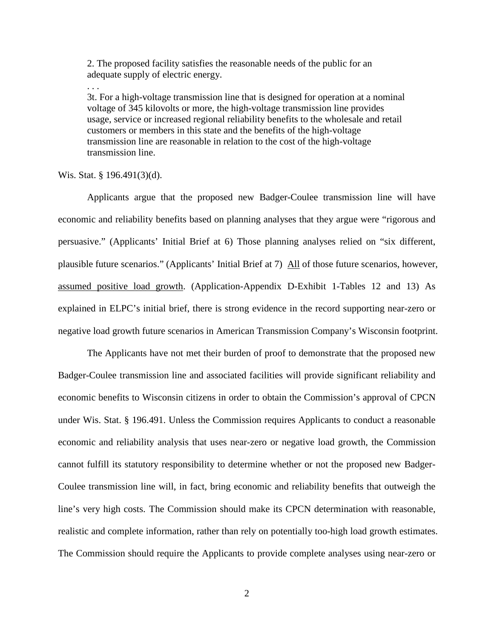2. The proposed facility satisfies the reasonable needs of the public for an adequate supply of electric energy.

3t. For a high-voltage transmission line that is designed for operation at a nominal voltage of 345 kilovolts or more, the high-voltage transmission line provides usage, service or increased regional reliability benefits to the wholesale and retail customers or members in this state and the benefits of the high-voltage transmission line are reasonable in relation to the cost of the high-voltage transmission line.

## Wis. Stat. § 196.491(3)(d).

. . .

Applicants argue that the proposed new Badger-Coulee transmission line will have economic and reliability benefits based on planning analyses that they argue were "rigorous and persuasive." (Applicants' Initial Brief at 6) Those planning analyses relied on "six different, plausible future scenarios." (Applicants' Initial Brief at 7) All of those future scenarios, however, assumed positive load growth. (Application-Appendix D-Exhibit 1-Tables 12 and 13) As explained in ELPC's initial brief, there is strong evidence in the record supporting near-zero or negative load growth future scenarios in American Transmission Company's Wisconsin footprint.

The Applicants have not met their burden of proof to demonstrate that the proposed new Badger-Coulee transmission line and associated facilities will provide significant reliability and economic benefits to Wisconsin citizens in order to obtain the Commission's approval of CPCN under Wis. Stat. § 196.491. Unless the Commission requires Applicants to conduct a reasonable economic and reliability analysis that uses near-zero or negative load growth, the Commission cannot fulfill its statutory responsibility to determine whether or not the proposed new Badger-Coulee transmission line will, in fact, bring economic and reliability benefits that outweigh the line's very high costs. The Commission should make its CPCN determination with reasonable, realistic and complete information, rather than rely on potentially too-high load growth estimates. The Commission should require the Applicants to provide complete analyses using near-zero or